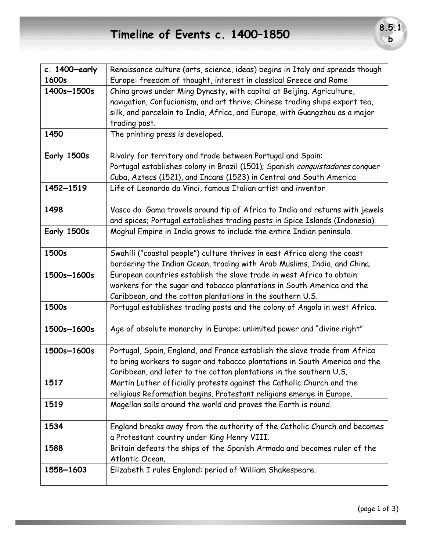## **Timeline of Events c. 1400–1850 8.5.1**

| c. $1400$ -early | Renaissance culture (arts, science, ideas) begins in Italy and spreads though |
|------------------|-------------------------------------------------------------------------------|
| 1600s            | Europe: freedom of thought, interest in classical Greece and Rome             |
| 1400s-1500s      | China grows under Ming Dynasty, with capital at Beijing. Agriculture,         |
|                  | navigation, Confucianism, and art thrive. Chinese trading ships export tea,   |
|                  | silk, and porcelain to India, Africa, and Europe, with Guangzhou as a major   |
|                  | trading post.                                                                 |
| 1450             | The printing press is developed.                                              |
| Early 1500s      | Rivalry for territory and trade between Portugal and Spain:                   |
|                  | Portugal establishes colony in Brazil (1501); Spanish conquistadores conquer  |
|                  | Cuba, Aztecs (1521), and Incans (1523) in Central and South America           |
| 1452-1519        | Life of Leonardo da Vinci, famous Italian artist and inventor                 |
| 1498             | Vasco da Gama travels around tip of Africa to India and returns with jewels   |
|                  | and spices; Portugal establishes trading posts in Spice Islands (Indonesia).  |
| Early 1500s      | Moghul Empire in India grows to include the entire Indian peninsula.          |
| 1500s            | Swahili ("coastal people") culture thrives in east Africa along the coast     |
|                  | bordering the Indian Ocean, trading with Arab Muslims, India, and China.      |
| 1500s-1600s      | European countries establish the slave trade in west Africa to obtain         |
|                  | workers for the sugar and tobacco plantations in South America and the        |
|                  | Caribbean, and the cotton plantations in the southern U.S.                    |
| 1500s            | Portugal establishes trading posts and the colony of Angola in west Africa.   |
| 1500s-1600s      | Age of absolute monarchy in Europe: unlimited power and "divine right"        |
| 1500s-1600s      | Portugal, Spain, England, and France establish the slave trade from Africa    |
|                  | to bring workers to sugar and tobacco plantations in South America and the    |
|                  | Caribbean, and later to the cotton plantations in the southern U.S.           |
| 1517             | Martin Luther officially protests against the Catholic Church and the         |
|                  | religious Reformation begins. Protestant religions emerge in Europe.          |
| 1519             | Magellan sails around the world and proves the Earth is round.                |
| 1534             | England breaks away from the authority of the Catholic Church and becomes     |
|                  | a Protestant country under King Henry VIII.                                   |
| 1588             | Britain defeats the ships of the Spanish Armada and becomes ruler of the      |
|                  | Atlantic Ocean.                                                               |
| 1558-1603        | Elizabeth I rules England: period of William Shakespeare.                     |
|                  |                                                                               |

**b**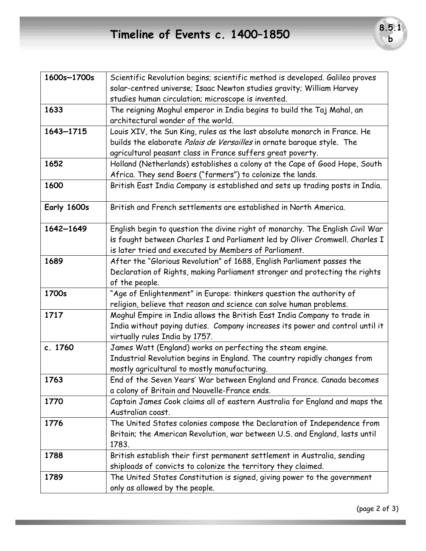| 1600s-1700s | Scientific Revolution begins; scientific method is developed. Galileo proves  |
|-------------|-------------------------------------------------------------------------------|
|             | solar-centred universe; Isaac Newton studies gravity; William Harvey          |
|             | studies human circulation; microscope is invented.                            |
| 1633        | The reigning Moghul emperor in India begins to build the Taj Mahal, an        |
|             | architectural wonder of the world.                                            |
| 1643-1715   | Louis XIV, the Sun King, rules as the last absolute monarch in France. He     |
|             | builds the elaborate Palais de Versailles in ornate baroque style. The        |
|             | agricultural peasant class in France suffers great poverty.                   |
| 1652        | Holland (Netherlands) establishes a colony at the Cape of Good Hope, South    |
|             | Africa. They send Boers ("farmers") to colonize the lands.                    |
| 1600        | British East India Company is established and sets up trading posts in India. |
| Early 1600s | British and French settlements are established in North America.              |
| 1642-1649   | English begin to question the divine right of monarchy. The English Civil War |
|             | is fought between Charles I and Parliament led by Oliver Cromwell. Charles I  |
|             | is later tried and executed by Members of Parliament.                         |
| 1689        | After the "Glorious Revolution" of 1688, English Parliament passes the        |
|             | Declaration of Rights, making Parliament stronger and protecting the rights   |
|             | of the people.                                                                |
| 1700s       | "Age of Enlightenment" in Europe: thinkers question the authority of          |
|             | religion, believe that reason and science can solve human problems.           |
| 1717        | Moghul Empire in India allows the British East India Company to trade in      |
|             | India without paying duties. Company increases its power and control until it |
|             | virtually rules India by 1757.                                                |
| c. 1760     | James Watt (England) works on perfecting the steam engine.                    |
|             | Industrial Revolution begins in England. The country rapidly changes from     |
|             | mostly agricultural to mostly manufacturing.                                  |
| 1763        | End of the Seven Years' War between England and France. Canada becomes        |
|             | a colony of Britain and Nouvelle-France ends.                                 |
| 1770        | Captain James Cook claims all of eastern Australia for England and maps the   |
|             | Australian coast.                                                             |
| 1776        | The United States colonies compose the Declaration of Independence from       |
|             | Britain; the American Revolution, war between U.S. and England, lasts until   |
|             | 1783.                                                                         |
| 1788        | British establish their first permanent settlement in Australia, sending      |
|             | shiploads of convicts to colonize the territory they claimed.                 |
| 1789        | The United States Constitution is signed, giving power to the government      |
|             | only as allowed by the people.                                                |

**b**